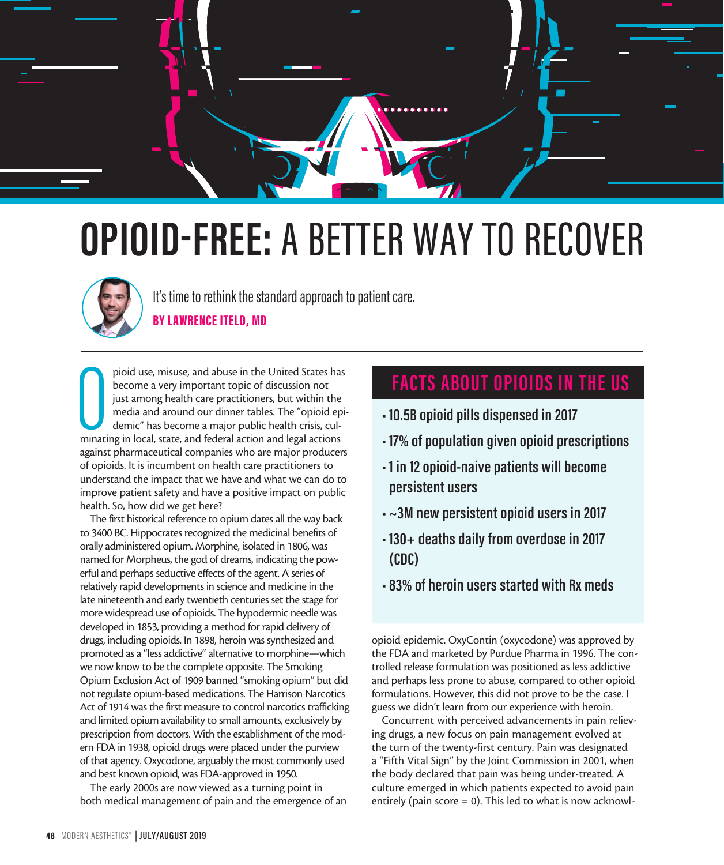

# **OPIOID-FREE:** A BETTER WAY TO RECOVER



It's time to rethink the standard approach to patient care. BY LAWRENCE ITELD, MD

pioid use, misuse, and abuse in the United States has<br>become a very important topic of discussion not<br>just among health care practitioners, but within the<br>media and around our dinner tables. The "opioid ep<br>demic" has becom pioid use, misuse, and abuse in the United States has become a very important topic of discussion not just among health care practitioners, but within the media and around our dinner tables. The "opioid epidemic" has become a major public health crisis, culagainst pharmaceutical companies who are major producers of opioids. It is incumbent on health care practitioners to understand the impact that we have and what we can do to improve patient safety and have a positive impact on public health. So, how did we get here?

The first historical reference to opium dates all the way back to 3400 BC. Hippocrates recognized the medicinal benefits of orally administered opium. Morphine, isolated in 1806, was named for Morpheus, the god of dreams, indicating the powerful and perhaps seductive effects of the agent. A series of relatively rapid developments in science and medicine in the late nineteenth and early twentieth centuries set the stage for more widespread use of opioids. The hypodermic needle was developed in 1853, providing a method for rapid delivery of drugs, including opioids. In 1898, heroin was synthesized and promoted as a "less addictive" alternative to morphine—which we now know to be the complete opposite. The Smoking Opium Exclusion Act of 1909 banned "smoking opium" but did not regulate opium-based medications. The Harrison Narcotics Act of 1914 was the first measure to control narcotics trafficking and limited opium availability to small amounts, exclusively by prescription from doctors. With the establishment of the modern FDA in 1938, opioid drugs were placed under the purview of that agency. Oxycodone, arguably the most commonly used and best known opioid, was FDA-approved in 1950.

The early 2000s are now viewed as a turning point in both medical management of pain and the emergence of an

# **FACTS ABOUT OPIOIDS IN THE US**

- **10.5B opioid pills dispensed in 2017**
- **17% of population given opioid prescriptions**
- **1 in 12 opioid-naive patients will become persistent users**
- **~3M new persistent opioid users in 2017**
- **130+ deaths daily from overdose in 2017 (CDC)**
- **83% of heroin users started with Rx meds**

opioid epidemic. OxyContin (oxycodone) was approved by the FDA and marketed by Purdue Pharma in 1996. The controlled release formulation was positioned as less addictive and perhaps less prone to abuse, compared to other opioid formulations. However, this did not prove to be the case. I guess we didn't learn from our experience with heroin.

Concurrent with perceived advancements in pain relieving drugs, a new focus on pain management evolved at the turn of the twenty-first century. Pain was designated a "Fifth Vital Sign" by the Joint Commission in 2001, when the body declared that pain was being under-treated. A culture emerged in which patients expected to avoid pain entirely (pain score  $= 0$ ). This led to what is now acknowl-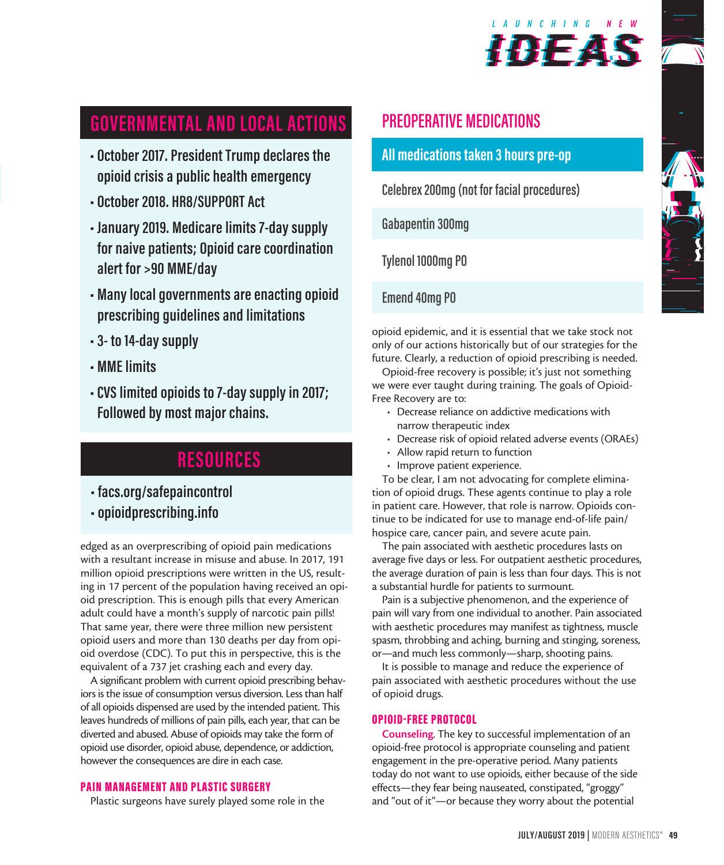



# **GOVERNMENTAL AND LOCAL ACTIONS**

- **October 2017. President Trump declares the opioid crisis a public health emergency**
- **October 2018. HR8/SUPPORT Act**
- **January 2019. Medicare limits 7-day supply for naive patients; Opioid care coordination alert for >90 MME/day**
- **Many local governments are enacting opioid prescribing guidelines and limitations**
- **3- to 14-day supply**
- **MME limits**
- **CVS limited opioids to 7-day supply in 2017; Followed by most major chains.**

# **RESOURCES**

- **facs.org/safepaincontrol**
- **opioidprescribing.info**

edged as an overprescribing of opioid pain medications with a resultant increase in misuse and abuse. In 2017, 191 million opioid prescriptions were written in the US, resulting in 17 percent of the population having received an opioid prescription. This is enough pills that every American adult could have a month's supply of narcotic pain pills! That same year, there were three million new persistent opioid users and more than 130 deaths per day from opioid overdose (CDC). To put this in perspective, this is the equivalent of a 737 jet crashing each and every day.

A significant problem with current opioid prescribing behaviors is the issue of consumption versus diversion. Less than half of all opioids dispensed are used by the intended patient. This leaves hundreds of millions of pain pills, each year, that can be diverted and abused. Abuse of opioids may take the form of opioid use disorder, opioid abuse, dependence, or addiction, however the consequences are dire in each case.

### PAIN MANAGEMENT AND PLASTIC SURGERY

Plastic surgeons have surely played some role in the

## **PREOPERATIVE MEDICATIONS**

**All medications taken 3 hours pre-op** 

**Celebrex 200mg (not for facial procedures)**

**Gabapentin 300mg**

**Tylenol 1000mg PO**

**Emend 40mg PO**

opioid epidemic, and it is essential that we take stock not only of our actions historically but of our strategies for the future. Clearly, a reduction of opioid prescribing is needed.

Opioid-free recovery is possible; it's just not something we were ever taught during training. The goals of Opioid-Free Recovery are to:

- Decrease reliance on addictive medications with narrow therapeutic index
- Decrease risk of opioid related adverse events (ORAEs)
- Allow rapid return to function
- Improve patient experience.

To be clear, I am not advocating for complete elimination of opioid drugs. These agents continue to play a role in patient care. However, that role is narrow. Opioids continue to be indicated for use to manage end-of-life pain/ hospice care, cancer pain, and severe acute pain.

The pain associated with aesthetic procedures lasts on average five days or less. For outpatient aesthetic procedures, the average duration of pain is less than four days. This is not a substantial hurdle for patients to surmount.

Pain is a subjective phenomenon, and the experience of pain will vary from one individual to another. Pain associated with aesthetic procedures may manifest as tightness, muscle spasm, throbbing and aching, burning and stinging, soreness, or—and much less commonly—sharp, shooting pains.

It is possible to manage and reduce the experience of pain associated with aesthetic procedures without the use of opioid drugs.

### OPIOID-FREE PROTOCOL

Counseling. The key to successful implementation of an opioid-free protocol is appropriate counseling and patient engagement in the pre-operative period. Many patients today do not want to use opioids, either because of the side effects—they fear being nauseated, constipated, "groggy" and "out of it"—or because they worry about the potential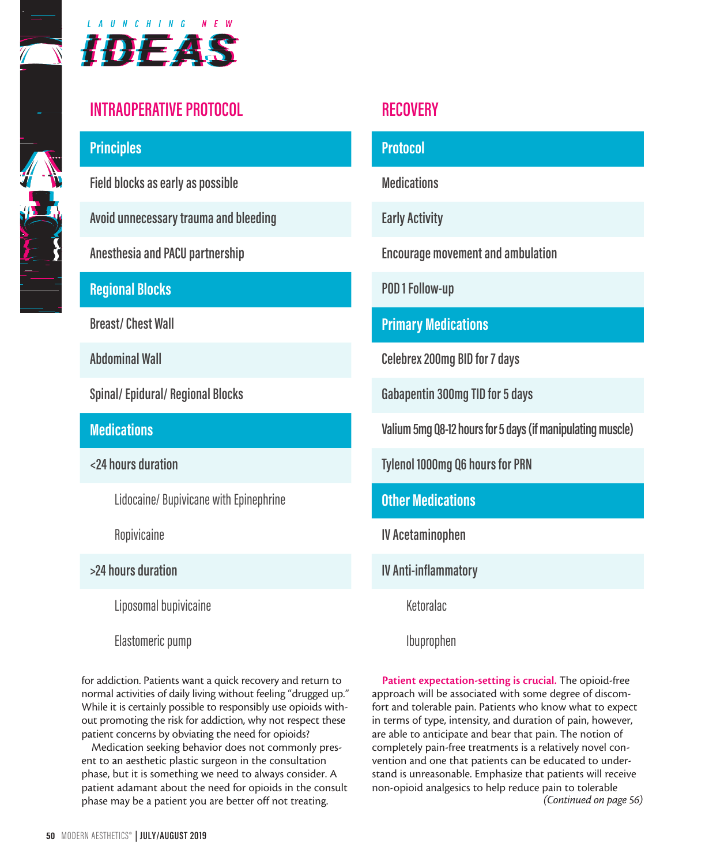



## **INTRAOPERATIVE PROTOCOL**

## **Principles**

**Field blocks as early as possible**

**Avoid unnecessary trauma and bleeding**

**Anesthesia and PACU partnership**

**Regional Blocks**

**Breast/ Chest Wall**

**Abdominal Wall**

**Spinal/ Epidural/ Regional Blocks**

**Medications**

**<24 hours duration**

Lidocaine/ Bupivicane with Epinephrine

Ropivicaine

**>24 hours duration**

Liposomal bupivicaine

Elastomeric pump

for addiction. Patients want a quick recovery and return to normal activities of daily living without feeling "drugged up." While it is certainly possible to responsibly use opioids without promoting the risk for addiction, why not respect these patient concerns by obviating the need for opioids?

Medication seeking behavior does not commonly present to an aesthetic plastic surgeon in the consultation phase, but it is something we need to always consider. A patient adamant about the need for opioids in the consult phase may be a patient you are better off not treating.

# **RECOVERY**

## **Protocol**

**Medications**

**Early Activity**

**Encourage movement and ambulation**

**POD 1 Follow-up**

**Primary Medications**

**Celebrex 200mg BID for 7 days**

**Gabapentin 300mg TID for 5 days**

**Valium 5mg Q8-12 hours for 5 days (if manipulating muscle)**

**Tylenol 1000mg Q6 hours for PRN**

## **Other Medications**

**IV Acetaminophen**

**IV Anti-inflammatory**

Ketoralac

Ibuprophen

Patient expectation-setting is crucial. The opioid-free approach will be associated with some degree of discomfort and tolerable pain. Patients who know what to expect in terms of type, intensity, and duration of pain, however, are able to anticipate and bear that pain. The notion of completely pain-free treatments is a relatively novel convention and one that patients can be educated to understand is unreasonable. Emphasize that patients will receive non-opioid analgesics to help reduce pain to tolerable *(Continued on page 56)*